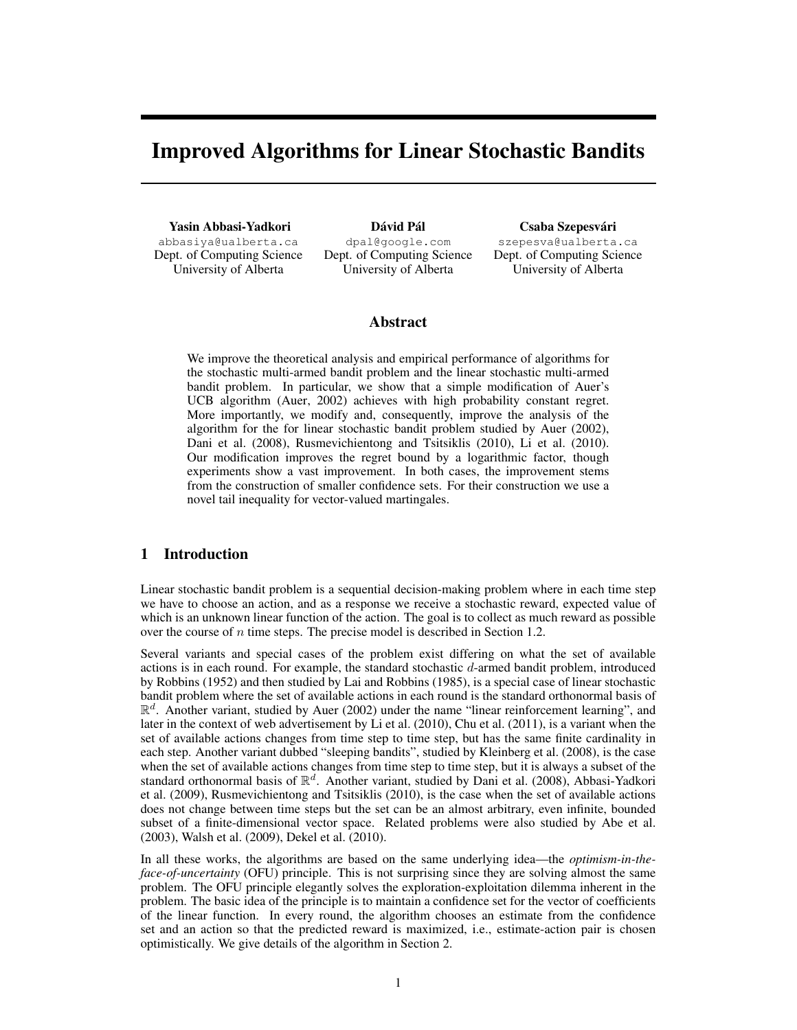# Improved Algorithms for Linear Stochastic Bandits

Yasin Abbasi-Yadkori abbasiya@ualberta.ca Dept. of Computing Science University of Alberta

Dávid Pál dpal@google.com Dept. of Computing Science University of Alberta

#### Csaba Szepesvári

szepesva@ualberta.ca Dept. of Computing Science University of Alberta

## Abstract

We improve the theoretical analysis and empirical performance of algorithms for the stochastic multi-armed bandit problem and the linear stochastic multi-armed bandit problem. In particular, we show that a simple modification of Auer's UCB algorithm (Auer, 2002) achieves with high probability constant regret. More importantly, we modify and, consequently, improve the analysis of the algorithm for the for linear stochastic bandit problem studied by Auer (2002), Dani et al. (2008), Rusmevichientong and Tsitsiklis (2010), Li et al. (2010). Our modification improves the regret bound by a logarithmic factor, though experiments show a vast improvement. In both cases, the improvement stems from the construction of smaller confidence sets. For their construction we use a novel tail inequality for vector-valued martingales.

# 1 Introduction

Linear stochastic bandit problem is a sequential decision-making problem where in each time step we have to choose an action, and as a response we receive a stochastic reward, expected value of which is an unknown linear function of the action. The goal is to collect as much reward as possible over the course of *n* time steps. The precise model is described in Section 1.2.

Several variants and special cases of the problem exist differing on what the set of available actions is in each round. For example, the standard stochastic *d*-armed bandit problem, introduced by Robbins (1952) and then studied by Lai and Robbins (1985), is a special case of linear stochastic bandit problem where the set of available actions in each round is the standard orthonormal basis of  $\mathbb{R}^d$ . Another variant, studied by Auer (2002) under the name "linear reinforcement learning", and later in the context of web advertisement by Li et al. (2010), Chu et al. (2011), is a variant when the set of available actions changes from time step to time step, but has the same finite cardinality in each step. Another variant dubbed "sleeping bandits", studied by Kleinberg et al. (2008), is the case when the set of available actions changes from time step to time step, but it is always a subset of the standard orthonormal basis of R*<sup>d</sup>*. Another variant, studied by Dani et al. (2008), Abbasi-Yadkori et al. (2009), Rusmevichientong and Tsitsiklis (2010), is the case when the set of available actions does not change between time steps but the set can be an almost arbitrary, even infinite, bounded subset of a finite-dimensional vector space. Related problems were also studied by Abe et al. (2003), Walsh et al. (2009), Dekel et al. (2010).

In all these works, the algorithms are based on the same underlying idea—the *optimism-in-theface-of-uncertainty* (OFU) principle. This is not surprising since they are solving almost the same problem. The OFU principle elegantly solves the exploration-exploitation dilemma inherent in the problem. The basic idea of the principle is to maintain a confidence set for the vector of coefficients of the linear function. In every round, the algorithm chooses an estimate from the confidence set and an action so that the predicted reward is maximized, i.e., estimate-action pair is chosen optimistically. We give details of the algorithm in Section 2.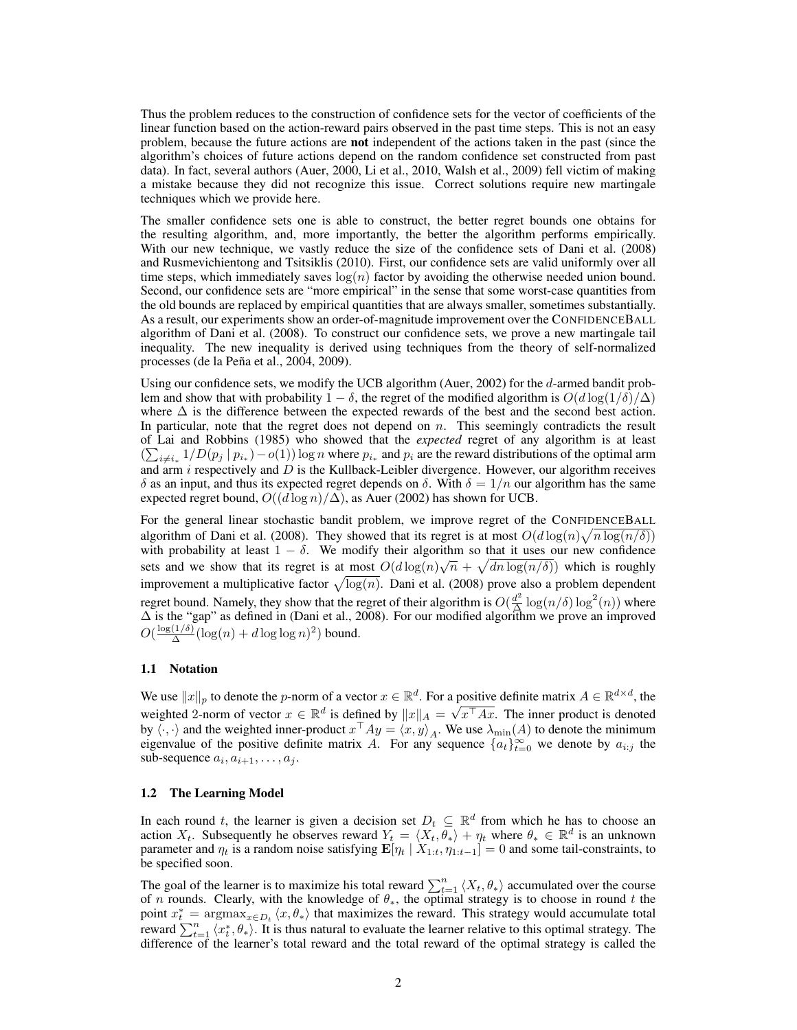Thus the problem reduces to the construction of confidence sets for the vector of coefficients of the linear function based on the action-reward pairs observed in the past time steps. This is not an easy problem, because the future actions are **not** independent of the actions taken in the past (since the algorithm's choices of future actions depend on the random confidence set constructed from past data). In fact, several authors (Auer, 2000, Li et al., 2010, Walsh et al., 2009) fell victim of making a mistake because they did not recognize this issue. Correct solutions require new martingale techniques which we provide here.

The smaller confidence sets one is able to construct, the better regret bounds one obtains for the resulting algorithm, and, more importantly, the better the algorithm performs empirically. With our new technique, we vastly reduce the size of the confidence sets of Dani et al. (2008) and Rusmevichientong and Tsitsiklis (2010). First, our confidence sets are valid uniformly over all time steps, which immediately saves  $log(n)$  factor by avoiding the otherwise needed union bound. Second, our confidence sets are "more empirical" in the sense that some worst-case quantities from the old bounds are replaced by empirical quantities that are always smaller, sometimes substantially. As a result, our experiments show an order-of-magnitude improvement over the CONFIDENCEBALL algorithm of Dani et al. (2008). To construct our confidence sets, we prove a new martingale tail inequality. The new inequality is derived using techniques from the theory of self-normalized processes (de la Peña et al., 2004, 2009).

Using our confidence sets, we modify the UCB algorithm (Auer, 2002) for the *d*-armed bandit problem and show that with probability  $1 - \delta$ , the regret of the modified algorithm is  $O(d \log(1/\delta)/\Delta)$ where  $\Delta$  is the difference between the expected rewards of the best and the second best action. In particular, note that the regret does not depend on *n*. This seemingly contradicts the result of Lai and Robbins (1985) who showed that the *expected* regret of any algorithm is at least  $(\sum_{i\neq i_*} 1/D(p_j | p_{i_*}) - o(1))$  log *n* where  $p_{i_*}$  and  $p_i$  are the reward distributions of the optimal arm and arm *i* respectively and *D* is the Kullback-Leibler divergence. However, our algorithm receives  $\delta$  as an input, and thus its expected regret depends on  $\delta$ . With  $\delta = 1/n$  our algorithm has the same expected regret bound,  $O((d \log n)/\Delta)$ , as Auer (2002) has shown for UCB.

For the general linear stochastic bandit problem, we improve regret of the CONFIDENCEBALL algorithm of Dani et al. (2008). They showed that its regret is at most  $O(d \log(n) \sqrt{n \log(n/\delta)})$ with probability at least  $1 - \delta$ . We modify their algorithm so that it uses our new confidence sets and we show that its regret is at most  $O(d \log(n) \sqrt{n} + \sqrt{dn \log(n/\delta)})$  which is roughly improvement a multiplicative factor  $\sqrt{\log(n)}$ . Dani et al. (2008) prove also a problem dependent regret bound. Namely, they show that the regret of their algorithm is  $O(\frac{d^2}{\Delta}\log(n/\delta)\log^2(n))$  where  $\Delta$  is the "gap" as defined in (Dani et al., 2008). For our modified algorithm we prove an improved  $O(\frac{\log(1/\delta)}{\Delta}(\log(n) + d\log\log n)^2)$  bound.

#### 1.1 Notation

We use  $||x||_p$  to denote the *p*-norm of a vector  $x \in \mathbb{R}^d$ . For a positive definite matrix  $A \in \mathbb{R}^{d \times d}$ , the weighted 2-norm of vector  $x \in \mathbb{R}^d$  is defined by  $||x||_A = \sqrt{x^{\top}Ax}$ . The inner product is denoted by  $\langle \cdot, \cdot \rangle$  and the weighted inner-product  $x^\top A y = \langle x, y \rangle_A$ . We use  $\lambda_{\min}(A)$  to denote the minimum eigenvalue of the positive definite matrix *A*. For any sequence  $\{a_t\}_{t=0}^{\infty}$  we denote by  $a_{i:j}$  the sub-sequence  $a_i, a_{i+1}, \ldots, a_j$ .

#### 1.2 The Learning Model

In each round *t*, the learner is given a decision set  $D_t \subseteq \mathbb{R}^d$  from which he has to choose an action  $X_t$ . Subsequently he observes reward  $Y_t = \langle X_t, \theta_* \rangle + \eta_t$  where  $\theta_* \in \mathbb{R}^d$  is an unknown parameter and  $\eta_t$  is a random noise satisfying  $\mathbf{E}[\eta_t | X_{1:t}, \eta_{1:t-1}] = 0$  and some tail-constraints, to be specified soon.

The goal of the learner is to maximize his total reward  $\sum_{t=1}^{n} \langle X_t, \theta_* \rangle$  accumulated over the course of *n* rounds. Clearly, with the knowledge of  $\theta_*$ , the optimal strategy is to choose in round *t* the point  $x_t^* = \argmax_{x \in D_t} \langle x, \theta_* \rangle$  that maximizes the reward. This strategy would accumulate total reward  $\sum_{t=1}^{n} \langle x_t^*, \theta_* \rangle$ . It is thus natural to evaluate the learner relative to this optimal strategy. The difference of the learner's total reward and the total reward of the optimal strategy is called the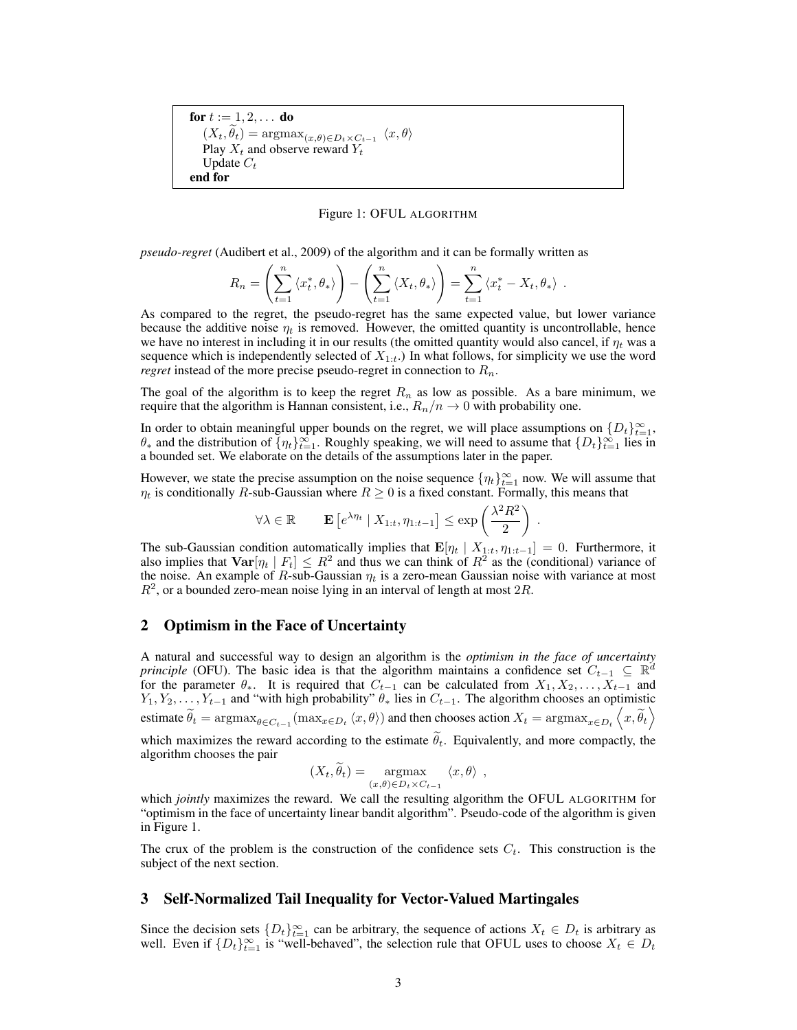for  $t := 1, 2, \ldots$  do  $(X_t, \theta_t) = \operatorname{argmax}_{(x, \theta) \in D_t \times C_{t-1}} \langle x, \theta \rangle$ Play  $X_t$  and observe reward  $Y_t$ Update *C<sup>t</sup>* end for

#### Figure 1: OFUL ALGORITHM

*pseudo-regret* (Audibert et al., 2009) of the algorithm and it can be formally written as

$$
R_n = \left(\sum_{t=1}^n \langle x_t^*, \theta_* \rangle\right) - \left(\sum_{t=1}^n \langle X_t, \theta_* \rangle\right) = \sum_{t=1}^n \langle x_t^* - X_t, \theta_* \rangle.
$$

As compared to the regret, the pseudo-regret has the same expected value, but lower variance because the additive noise  $\eta_t$  is removed. However, the omitted quantity is uncontrollable, hence we have no interest in including it in our results (the omitted quantity would also cancel, if  $\eta_t$  was a sequence which is independently selected of  $X_{1:t}$ .) In what follows, for simplicity we use the word *regret* instead of the more precise pseudo-regret in connection to *Rn*.

The goal of the algorithm is to keep the regret  $R_n$  as low as possible. As a bare minimum, we require that the algorithm is Hannan consistent, i.e.,  $R_n/n \to 0$  with probability one.

In order to obtain meaningful upper bounds on the regret, we will place assumptions on  $\{D_t\}_{t=1}^{\infty}$ ,  $\theta_*$  and the distribution of  $\{\eta_t\}_{t=1}^{\infty}$ . Roughly speaking, we will need to assume that  $\{D_t\}_{t=1}^{\infty}$  lies in a bounded set. We elaborate on the details of the assumptions later in the paper.

However, we state the precise assumption on the noise sequence  $\{\eta_t\}_{t=1}^{\infty}$  now. We will assume that  $\eta_t$  is conditionally *R*-sub-Gaussian where  $R \geq 0$  is a fixed constant. Formally, this means that

$$
\forall \lambda \in \mathbb{R} \qquad \mathbf{E} \left[ e^{\lambda \eta_t} \mid X_{1:t}, \eta_{1:t-1} \right] \le \exp \left( \frac{\lambda^2 R^2}{2} \right) .
$$

The sub-Gaussian condition automatically implies that  $\mathbf{E}[\eta_t | X_{1:t}, \eta_{1:t-1}] = 0$ . Furthermore, it also implies that  $\text{Var}[\eta_t | F_t] \leq R^2$  and thus we can think of  $R^2$  as the (conditional) variance of the noise. An example of  $R$ -sub-Gaussian  $\eta_t$  is a zero-mean Gaussian noise with variance at most  $R^2$ , or a bounded zero-mean noise lying in an interval of length at most  $2R$ .

#### 2 Optimism in the Face of Uncertainty

algorithm chooses the pair

A natural and successful way to design an algorithm is the *optimism in the face of uncertainty principle* (OFU). The basic idea is that the algorithm maintains a confidence set  $C_{t-1} \subseteq \mathbb{R}^d$ for the parameter  $\theta_*$ . It is required that  $C_{t-1}$  can be calculated from  $X_1, X_2, \ldots, X_{t-1}$  and  $Y_1, Y_2, \ldots, Y_{t-1}$  and "with high probability"  $\theta_*$  lies in  $C_{t-1}$ . The algorithm chooses an optimistic estimate  $\widetilde{\theta}_t = \operatorname{argmax}_{\theta \in C_{t-1}} (\max_{x \in D_t} \langle x, \theta \rangle)$  and then chooses action  $X_t = \operatorname{argmax}_{x \in D_t} \langle x, \widetilde{\theta}_t \rangle$  $\setminus$ which maximizes the reward according to the estimate  $\theta_t$ . Equivalently, and more compactly, the

$$
(X_t, \widetilde{\theta}_t) = \underset{(x,\theta) \in D_t \times C_{t-1}}{\operatorname{argmax}} \langle x, \theta \rangle ,
$$

which *jointly* maximizes the reward. We call the resulting algorithm the OFUL ALGORITHM for "optimism in the face of uncertainty linear bandit algorithm". Pseudo-code of the algorithm is given in Figure 1.

The crux of the problem is the construction of the confidence sets *Ct*. This construction is the subject of the next section.

#### 3 Self-Normalized Tail Inequality for Vector-Valued Martingales

Since the decision sets  $\{D_t\}_{t=1}^{\infty}$  can be arbitrary, the sequence of actions  $X_t \in D_t$  is arbitrary as well. Even if  $\{D_t\}_{t=1}^{\infty}$  is "well-behaved", the selection rule that OFUL uses to choose  $X_t \in D_t$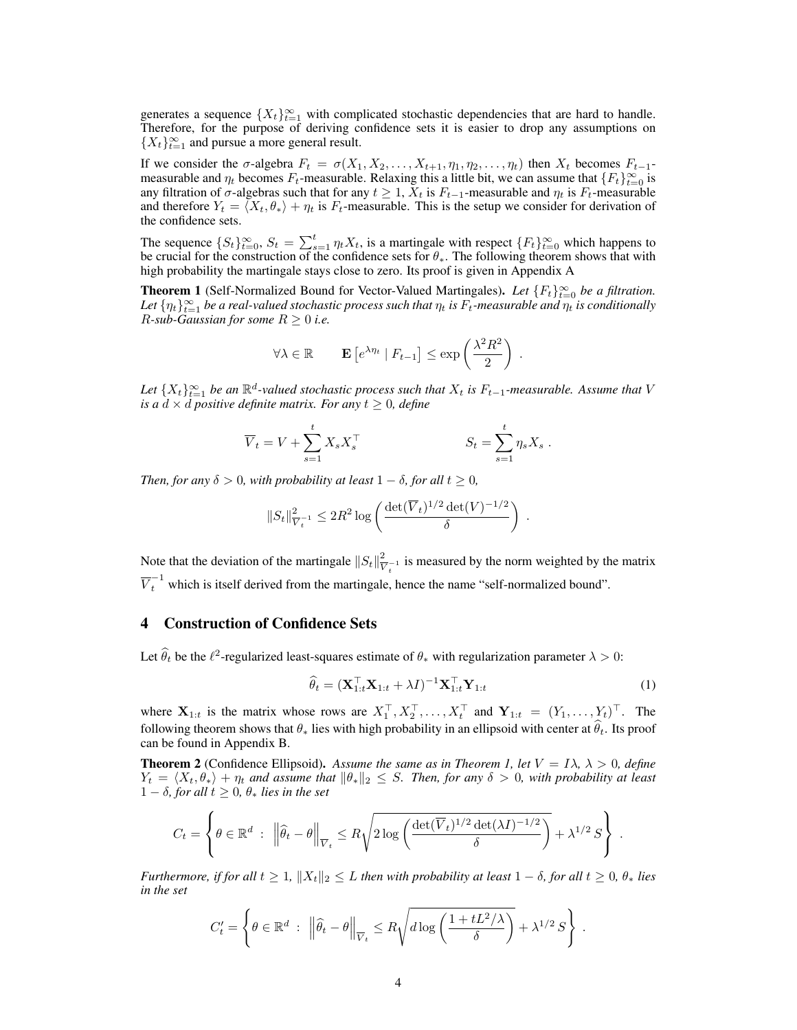generates a sequence  $\{X_t\}_{t=1}^{\infty}$  with complicated stochastic dependencies that are hard to handle. Therefore, for the purpose of deriving confidence sets it is easier to drop any assumptions on  ${X_t}_{t=1}^{\infty}$  and pursue a more general result.

If we consider the  $\sigma$ -algebra  $F_t = \sigma(X_1, X_2, \ldots, X_{t+1}, \eta_1, \eta_2, \ldots, \eta_t)$  then  $X_t$  becomes  $F_{t-1}$ measurable and  $\eta_t$  becomes  $F_t$ -measurable. Relaxing this a little bit, we can assume that  $\{F_t\}_{t=0}^{\infty}$  is any filtration of  $\sigma$ -algebras such that for any  $t \geq 1$ ,  $X_t$  is  $F_{t-1}$ -measurable and  $\eta_t$  is  $F_t$ -measurable and therefore  $Y_t = \langle X_t, \theta_* \rangle + \eta_t$  is  $F_t$ -measurable. This is the setup we consider for derivation of the confidence sets.

The sequence  ${S_t}_{t=0}^{\infty}$ ,  $S_t = \sum_{s=1}^{t} \eta_t X_t$ , is a martingale with respect  ${F_t}_{t=0}^{\infty}$  which happens to be crucial for the construction of the confidence sets for  $\theta_*$ . The following theorem shows that with high probability the martingale stays close to zero. Its proof is given in Appendix A

**Theorem 1** (Self-Normalized Bound for Vector-Valued Martingales). Let  $\{F_t\}_{t=0}^{\infty}$  be a filtration. Let  $\{\eta_t\}_{t=1}^\infty$  be a real-valued stochastic process such that  $\eta_t$  is  $F_t$ -measurable and  $\eta_t$  is conditionally *R*-sub-Gaussian for some  $R \geq 0$  *i.e.* 

$$
\forall \lambda \in \mathbb{R} \qquad \mathbf{E}\left[e^{\lambda \eta_t} \mid F_{t-1}\right] \le \exp\left(\frac{\lambda^2 R^2}{2}\right) \, .
$$

Let  $\{X_t\}_{t=1}^{\infty}$  be an  $\mathbb{R}^d$ -valued stochastic process such that  $X_t$  is  $F_{t-1}$ -measurable. Assume that V *is a*  $d \times d$  *positive definite matrix. For any*  $t \geq 0$ *, define* 

$$
\overline{V}_t = V + \sum_{s=1}^t X_s X_s^\top \qquad S_t = \sum_{s=1}^t \eta_s X_s \; .
$$

*Then, for any*  $\delta > 0$ *, with probability at least*  $1 - \delta$ *, for all*  $t > 0$ *,* 

$$
||S_t||_{\overline{V}_t^{-1}}^2 \leq 2R^2 \log \left( \frac{\det(\overline{V}_t)^{1/2} \det(V)^{-1/2}}{\delta} \right) .
$$

Note that the deviation of the martingale  $||S_t||_{V_t^{-1}}^2$  is measured by the norm weighted by the matrix  $\overline{V}_t^{-1}$  which is itself derived from the martingale, hence the name "self-normalized bound".

## 4 Construction of Confidence Sets

Let  $\hat{\theta}_t$  be the  $\ell^2$ -regularized least-squares estimate of  $\theta_*$  with regularization parameter  $\lambda > 0$ :

$$
\widehat{\theta}_t = (\mathbf{X}_{1:t}^\top \mathbf{X}_{1:t} + \lambda I)^{-1} \mathbf{X}_{1:t}^\top \mathbf{Y}_{1:t}
$$
\n(1)

where  $X_{1:t}$  is the matrix whose rows are  $X_1^{\perp}, X_2^{\perp}, \ldots, X_t^{\perp}$  and  $Y_{1:t} = (Y_1, \ldots, Y_t)^{\perp}$ . The following theorem shows that  $\theta_*$  lies with high probability in an ellipsoid with center at  $\theta_t$ . Its proof can be found in Appendix B.

**Theorem 2** (Confidence Ellipsoid). Assume the same as in Theorem 1, let  $V = I\lambda$ ,  $\lambda > 0$ , define  $Y_t = \langle X_t, \theta_* \rangle + \eta_t$  and assume that  $\|\theta_*\|_2 \leq S$ . Then, for any  $\delta > 0$ , with probability at least  $1 - \delta$ , for all  $t \geq 0$ ,  $\theta_*$  lies in the set

$$
C_t = \left\{ \theta \in \mathbb{R}^d \; : \; \left\| \widehat{\theta}_t - \theta \right\|_{\overline{V}_t} \leq R \sqrt{2 \log \left( \frac{\det(\overline{V}_t)^{1/2} \det(\lambda I)^{-1/2}}{\delta} \right)} + \lambda^{1/2} S \right\} \; .
$$

*Furthermore, if for all*  $t \geq 1$ ,  $||X_t||_2 \leq L$  *then with probability at least*  $1 - \delta$ *, for all*  $t \geq 0$ *,*  $\theta_*$  *lies in the set*

$$
C'_t = \left\{ \theta \in \mathbb{R}^d \; : \; \left\| \widehat{\theta}_t - \theta \right\|_{\overline{V}_t} \le R \sqrt{d \log \left( \frac{1 + tL^2/\lambda}{\delta} \right)} + \lambda^{1/2} S \right\} \; .
$$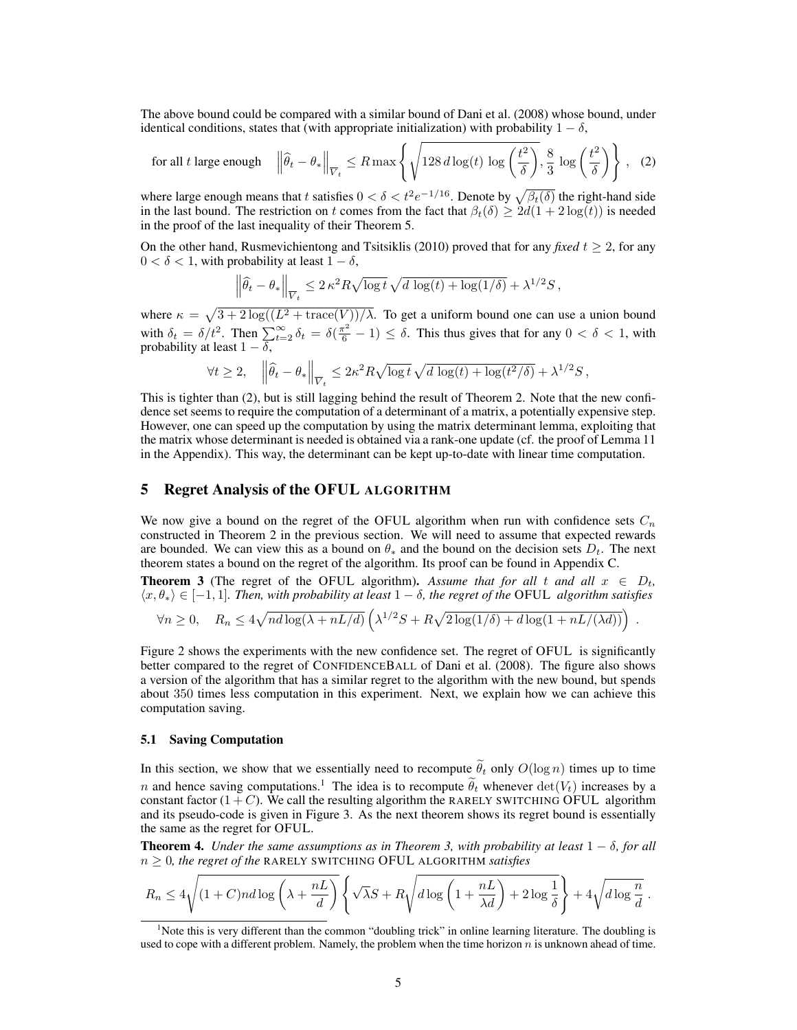The above bound could be compared with a similar bound of Dani et al. (2008) whose bound, under identical conditions, states that (with appropriate initialization) with probability  $1 - \delta$ ,

$$
\text{for all } t \text{ large enough} \quad \left\|\widehat{\theta}_t - \theta_*\right\|_{\overline{V}_t} \le R \max\left\{\sqrt{128 \, d\log(t) \, \log\left(\frac{t^2}{\delta}\right)}, \frac{8}{3} \, \log\left(\frac{t^2}{\delta}\right) \right\} \,,\tag{2}
$$

where large enough means that *t* satisfies  $0 < \delta < t^2 e^{-1/16}$ . Denote by  $\sqrt{\beta_t(\delta)}$  the right-hand side in the last bound. The restriction on *t* comes from the fact that  $\beta_t(\delta) \geq 2d(1 + 2\log(\overline{t}))$  is needed in the proof of the last inequality of their Theorem 5.

On the other hand, Rusmevichientong and Tsitsiklis (2010) proved that for any *fixed*  $t \geq 2$ , for any  $0 < \delta < 1$ , with probability at least  $1 - \delta$ ,

$$
\left\|\widehat{\theta}_t - \theta_*\right\|_{\overline{V}_t} \leq 2\,\kappa^2 R \sqrt{\log t}\, \sqrt{d\,\log(t) + \log(1/\delta)} + \lambda^{1/2} S\,,
$$

where  $\kappa = \sqrt{3 + 2 \log((L^2 + \text{trace}(V))/\lambda})$ . To get a uniform bound one can use a union bound with  $\delta_t = \delta/t^2$ . Then  $\sum_{t=2}^{\infty} \delta_t = \delta(\frac{\pi^2}{6} - 1) \leq \delta$ . This thus gives that for any  $0 < \delta < 1$ , with probability at least  $1 - \delta$ ,

$$
\forall t \geq 2, \quad \left\|\widehat{\theta}_t - \theta_*\right\|_{\overline{V}_t} \leq 2\kappa^2 R \sqrt{\log t} \sqrt{d \log(t) + \log(t^2/\delta)} + \lambda^{1/2} S,
$$

This is tighter than (2), but is still lagging behind the result of Theorem 2. Note that the new confidence set seems to require the computation of a determinant of a matrix, a potentially expensive step. However, one can speed up the computation by using the matrix determinant lemma, exploiting that the matrix whose determinant is needed is obtained via a rank-one update (cf. the proof of Lemma 11 in the Appendix). This way, the determinant can be kept up-to-date with linear time computation.

## 5 Regret Analysis of the OFUL ALGORITHM

We now give a bound on the regret of the OFUL algorithm when run with confidence sets  $C<sub>n</sub>$ constructed in Theorem 2 in the previous section. We will need to assume that expected rewards are bounded. We can view this as a bound on  $\theta_*$  and the bound on the decision sets  $D_t$ . The next theorem states a bound on the regret of the algorithm. Its proof can be found in Appendix C.

**Theorem 3** (The regret of the OFUL algorithm). Assume that for all t and all  $x \in D_t$ ,  $\langle x, \theta_* \rangle \in [-1, 1]$ . Then, with probability at least  $1 - \delta$ , the regret of the OFUL *algorithm satisfies* 

$$
\forall n \geq 0, \quad R_n \leq 4\sqrt{nd\log(\lambda+nL/d)} \left(\lambda^{1/2}S + R\sqrt{2\log(1/\delta) + d\log(1+nL/(\lambda d))}\right)
$$

*.*

Figure 2 shows the experiments with the new confidence set. The regret of OFUL is significantly better compared to the regret of CONFIDENCEBALL of Dani et al. (2008). The figure also shows a version of the algorithm that has a similar regret to the algorithm with the new bound, but spends about 350 times less computation in this experiment. Next, we explain how we can achieve this computation saving.

#### 5.1 Saving Computation

In this section, we show that we essentially need to recompute  $\theta_t$  only  $O(\log n)$  times up to time *n* and hence saving computations.<sup>1</sup> The idea is to recompute  $\tilde{\theta}_t$  whenever  $\det(V_t)$  increases by a constant factor  $(1+C)$ . We call the resulting algorithm the RARELY SWITCHING OFUL algorithm and its pseudo-code is given in Figure 3. As the next theorem shows its regret bound is essentially the same as the regret for OFUL.

**Theorem 4.** *Under the same assumptions as in Theorem 3, with probability at least*  $1 - \delta$ , for all  $n \geq 0$ *, the regret of the* RARELY SWITCHING OFUL ALGORITHM *satisfies* 

$$
R_n \le 4\sqrt{(1+C)nd\log\left(\lambda + \frac{nL}{d}\right)} \left\{\sqrt{\lambda}S + R\sqrt{d\log\left(1 + \frac{nL}{\lambda d}\right) + 2\log\frac{1}{\delta}}\right\} + 4\sqrt{d\log\frac{n}{d}}.
$$

<sup>&</sup>lt;sup>1</sup>Note this is very different than the common "doubling trick" in online learning literature. The doubling is used to cope with a different problem. Namely, the problem when the time horizon  $n$  is unknown ahead of time.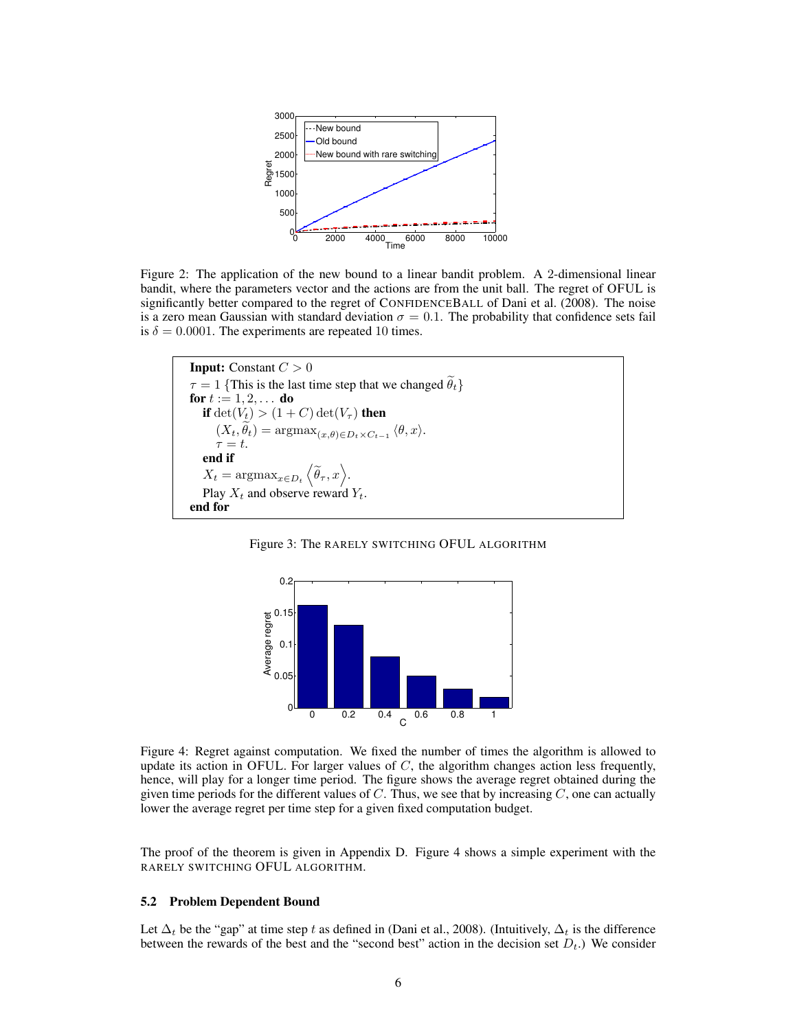

Figure 2: The application of the new bound to a linear bandit problem. A 2-dimensional linear bandit, where the parameters vector and the actions are from the unit ball. The regret of OFUL is significantly better compared to the regret of CONFIDENCEBALL of Dani et al. (2008). The noise is a zero mean Gaussian with standard deviation  $\sigma = 0.1$ . The probability that confidence sets fail is  $\delta = 0.0001$ . The experiments are repeated 10 times.

```
Input: Constant C > 0\tau = 1 {This is the last time step that we changed \theta_t}
for t := 1, 2, \ldots do
   if \det(V_t) > (1+C) \det(V_\tau) then
        (X_t, \theta_t) = \operatorname{argmax}_{(x, \theta) \in D_t \times C_{t-1}} \langle \theta, x \rangle.\tau = t.
   end if
    X_t = \text{argmax}_{x \in D_t} \left\langle \widetilde{\theta}_\tau, x \right\rangle.Play X_t and observe reward Y_t.
end for
```




Figure 4: Regret against computation. We fixed the number of times the algorithm is allowed to update its action in OFUL. For larger values of *C*, the algorithm changes action less frequently, hence, will play for a longer time period. The figure shows the average regret obtained during the given time periods for the different values of *C*. Thus, we see that by increasing *C*, one can actually lower the average regret per time step for a given fixed computation budget.

The proof of the theorem is given in Appendix D. Figure 4 shows a simple experiment with the RARELY SWITCHING OFUL ALGORITHM.

#### 5.2 Problem Dependent Bound

Let  $\Delta_t$  be the "gap" at time step t as defined in (Dani et al., 2008). (Intuitively,  $\Delta_t$  is the difference between the rewards of the best and the "second best" action in the decision set  $D_t$ .) We consider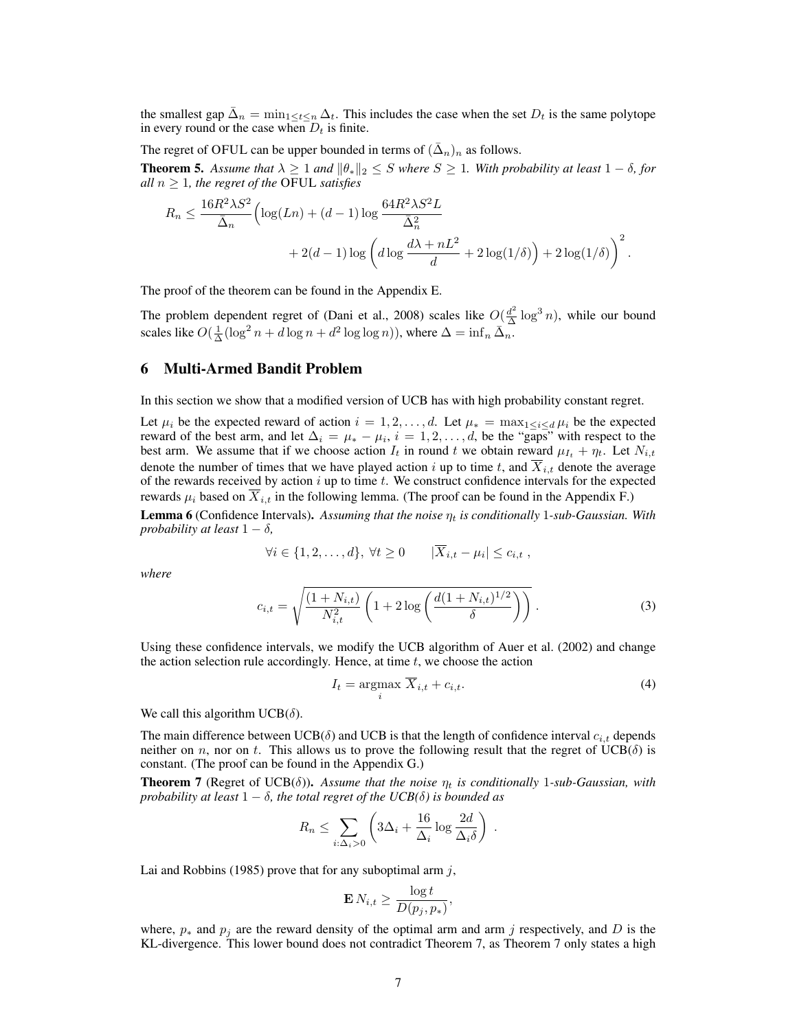the smallest gap  $\bar{\Delta}_n = \min_{1 \le t \le n} \Delta_t$ . This includes the case when the set  $D_t$  is the same polytope in every round or the case when  $D_t$  is finite.

The regret of OFUL can be upper bounded in terms of  $({\bar{\Delta}}_n)_n$  as follows.

**Theorem 5.** Assume that  $\lambda \geq 1$  and  $\|\theta_{\ast}\|_2 \leq S$  where  $S \geq 1$ . With probability at least  $1 - \delta$ , for *all*  $n \geq 1$ *, the regret of the OFUL satisfies* 

$$
R_n \le \frac{16R^2\lambda S^2}{\bar{\Delta}_n} \Biggl( \log(Ln) + (d-1)\log\frac{64R^2\lambda S^2L}{\bar{\Delta}_n^2} + 2(d-1)\log\left(d\log\frac{d\lambda + nL^2}{d} + 2\log(1/\delta)\right) + 2\log(1/\delta) \Biggr)^2.
$$

The proof of the theorem can be found in the Appendix E.

The problem dependent regret of (Dani et al., 2008) scales like  $O(\frac{d^2}{\Delta} \log^3 n)$ , while our bound scales like  $O(\frac{1}{\Delta}(\log^2 n + d \log n + d^2 \log \log n))$ , where  $\Delta = \inf_n \bar{\Delta}_n$ .

#### 6 Multi-Armed Bandit Problem

In this section we show that a modified version of UCB has with high probability constant regret.

Let  $\mu_i$  be the expected reward of action  $i = 1, 2, \ldots, d$ . Let  $\mu_* = \max_{1 \le i \le d} \mu_i$  be the expected reward of the best arm, and let  $\Delta_i = \mu_* - \mu_i$ ,  $i = 1, 2, ..., d$ , be the "gaps" with respect to the best arm. We assume that if we choose action  $I_t$  in round t we obtain reward  $\mu_{I_t} + \eta_t$ . Let  $N_{i,t}$ denote the number of times that we have played action  $i$  up to time  $t$ , and  $X_{i,t}$  denote the average of the rewards received by action *i* up to time *t*. We construct confidence intervals for the expected rewards  $\mu_i$  based on  $\overline{X}_{i,t}$  in the following lemma. (The proof can be found in the Appendix F.)

**Lemma 6** (Confidence Intervals). Assuming that the noise  $\eta_t$  is conditionally 1-sub-Gaussian. With *probability at least*  $1 - \delta$ ,

$$
\forall i \in \{1, 2, \dots, d\}, \ \forall t \ge 0 \qquad |\overline{X}_{i,t} - \mu_i| \le c_{i,t} \ ,
$$

*where*

$$
c_{i,t} = \sqrt{\frac{(1+N_{i,t})}{N_{i,t}^2} \left(1 + 2\log\left(\frac{d(1+N_{i,t})^{1/2}}{\delta}\right)\right)}.
$$
 (3)

Using these confidence intervals, we modify the UCB algorithm of Auer et al. (2002) and change the action selection rule accordingly. Hence, at time *t*, we choose the action

$$
I_t = \underset{i}{\operatorname{argmax}} \ \overline{X}_{i,t} + c_{i,t}.\tag{4}
$$

We call this algorithm UCB( $\delta$ ).

The main difference between  $UCB(\delta)$  and  $UCB$  is that the length of confidence interval  $c_{i,t}$  depends neither on *n*, nor on *t*. This allows us to prove the following result that the regret of  $UCB(\delta)$  is constant. (The proof can be found in the Appendix G.)

**Theorem 7** (Regret of UCB( $\delta$ )). Assume that the noise  $\eta_t$  is conditionally 1-sub-Gaussian, with *probability at least*  $1 - \delta$ , the total regret of the UCB( $\delta$ ) is bounded as

$$
R_n \leq \sum_{i:\Delta_i>0} \left(3\Delta_i + \frac{16}{\Delta_i}\log\frac{2d}{\Delta_i\delta}\right) .
$$

Lai and Robbins (1985) prove that for any suboptimal arm *j*,

$$
\mathbf{E} N_{i,t} \geq \frac{\log t}{D(p_j, p_*)},
$$

where,  $p_*$  and  $p_j$  are the reward density of the optimal arm and arm *j* respectively, and *D* is the KL-divergence. This lower bound does not contradict Theorem 7, as Theorem 7 only states a high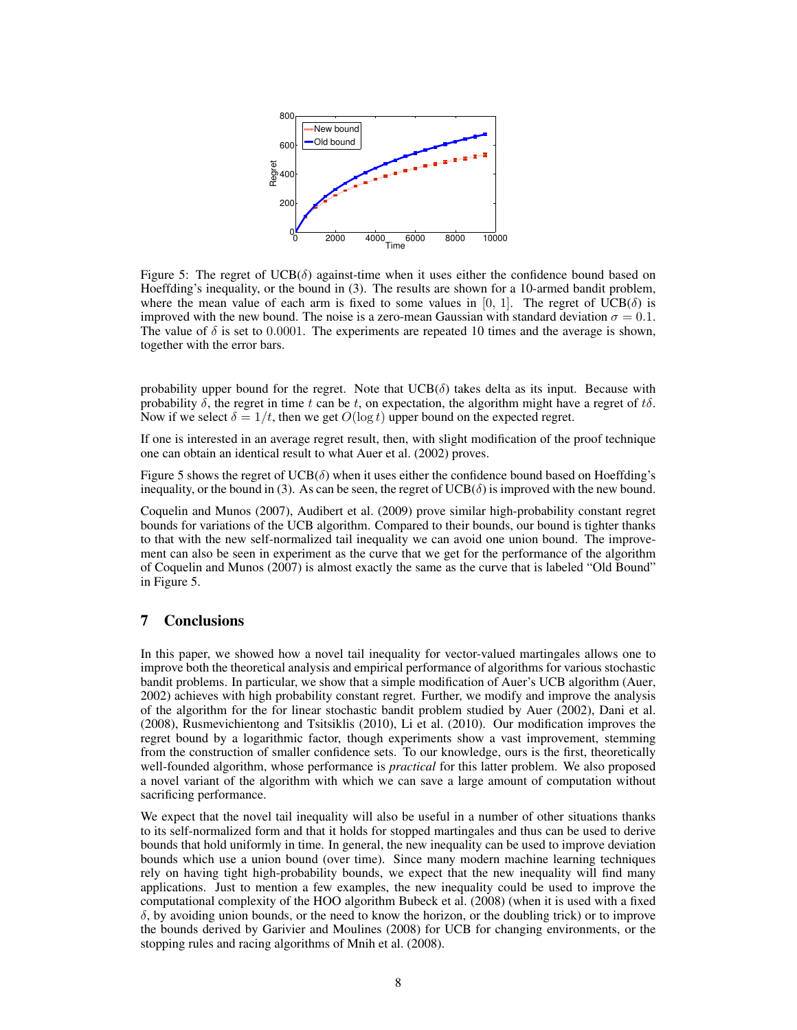

Figure 5: The regret of  $UCB(\delta)$  against-time when it uses either the confidence bound based on Hoeffding's inequality, or the bound in (3). The results are shown for a 10-armed bandit problem, where the mean value of each arm is fixed to some values in [0, 1]. The regret of  $UCB(\delta)$  is improved with the new bound. The noise is a zero-mean Gaussian with standard deviation  $\sigma = 0.1$ . The value of  $\delta$  is set to 0.0001. The experiments are repeated 10 times and the average is shown, together with the error bars.

probability upper bound for the regret. Note that  $UCB(\delta)$  takes delta as its input. Because with probability  $\delta$ , the regret in time *t* can be *t*, on expectation, the algorithm might have a regret of  $t\delta$ . Now if we select  $\delta = 1/t$ , then we get  $O(\log t)$  upper bound on the expected regret.

If one is interested in an average regret result, then, with slight modification of the proof technique one can obtain an identical result to what Auer et al. (2002) proves.

Figure 5 shows the regret of  $UCB(\delta)$  when it uses either the confidence bound based on Hoeffding's inequality, or the bound in (3). As can be seen, the regret of  $UCB(\delta)$  is improved with the new bound.

Coquelin and Munos (2007), Audibert et al. (2009) prove similar high-probability constant regret bounds for variations of the UCB algorithm. Compared to their bounds, our bound is tighter thanks to that with the new self-normalized tail inequality we can avoid one union bound. The improvement can also be seen in experiment as the curve that we get for the performance of the algorithm of Coquelin and Munos (2007) is almost exactly the same as the curve that is labeled "Old Bound" in Figure 5.

## 7 Conclusions

In this paper, we showed how a novel tail inequality for vector-valued martingales allows one to improve both the theoretical analysis and empirical performance of algorithms for various stochastic bandit problems. In particular, we show that a simple modification of Auer's UCB algorithm (Auer, 2002) achieves with high probability constant regret. Further, we modify and improve the analysis of the algorithm for the for linear stochastic bandit problem studied by Auer (2002), Dani et al. (2008), Rusmevichientong and Tsitsiklis (2010), Li et al. (2010). Our modification improves the regret bound by a logarithmic factor, though experiments show a vast improvement, stemming from the construction of smaller confidence sets. To our knowledge, ours is the first, theoretically well-founded algorithm, whose performance is *practical* for this latter problem. We also proposed a novel variant of the algorithm with which we can save a large amount of computation without sacrificing performance.

We expect that the novel tail inequality will also be useful in a number of other situations thanks to its self-normalized form and that it holds for stopped martingales and thus can be used to derive bounds that hold uniformly in time. In general, the new inequality can be used to improve deviation bounds which use a union bound (over time). Since many modern machine learning techniques rely on having tight high-probability bounds, we expect that the new inequality will find many applications. Just to mention a few examples, the new inequality could be used to improve the computational complexity of the HOO algorithm Bubeck et al. (2008) (when it is used with a fixed  $\delta$ , by avoiding union bounds, or the need to know the horizon, or the doubling trick) or to improve the bounds derived by Garivier and Moulines (2008) for UCB for changing environments, or the stopping rules and racing algorithms of Mnih et al. (2008).